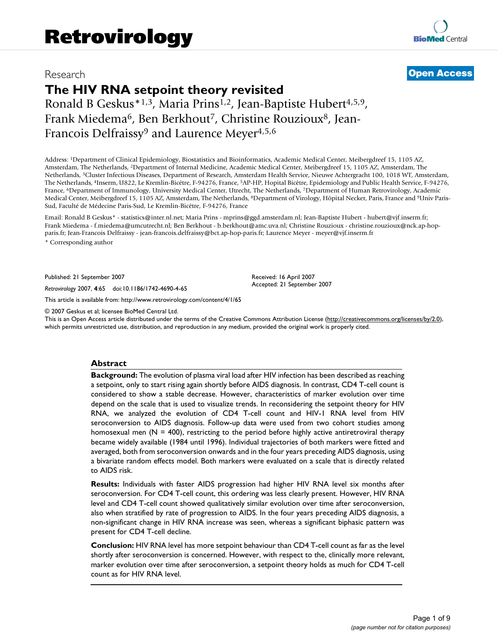# **The HIV RNA setpoint theory revisited**

Ronald B Geskus\*1,3, Maria Prins1,2, Jean-Baptiste Hubert4,5,9, Frank Miedema<sup>6</sup>, Ben Berkhout<sup>7</sup>, Christine Rouzioux<sup>8</sup>, Jean-Francois Delfraissy<sup>9</sup> and Laurence Meyer<sup>4,5,6</sup>

Address: 1Department of Clinical Epidemiology, Biostatistics and Bioinformatics, Academic Medical Center, Meibergdreef 15, 1105 AZ, Amsterdam, The Netherlands, 2Department of Internal Medicine, Academic Medical Center, Meibergdreef 15, 1105 AZ, Amsterdam, The Netherlands, 3Cluster Infectious Diseases, Department of Research, Amsterdam Health Service, Nieuwe Achtergracht 100, 1018 WT, Amsterdam, The Netherlands, 4Inserm, U822, Le Kremlin-Bicêtre, F-94276, France, 5AP-HP, Hopital Bicêtre, Epidemiology and Public Health Service, F-94276, France, 6Department of Immunology, University Medical Center, Utrecht, The Netherlands, 7Department of Human Retrovirology, Academic Medical Center, Meibergdreef 15, 1105 AZ, Amsterdam, The Netherlands, 8Department of Virology, Hôpital Necker, Paris, France and 9Univ Paris-Sud, Faculté de Médecine Paris-Sud, Le Kremlin-Bicêtre, F-94276, France

Email: Ronald B Geskus\* - statistics@inter.nl.net; Maria Prins - mprins@ggd.amsterdam.nl; Jean-Baptiste Hubert - hubert@vjf.inserm.fr; Frank Miedema - f.miedema@umcutrecht.nl; Ben Berkhout - b.berkhout@amc.uva.nl; Christine Rouzioux - christine.rouzioux@nck.ap-hopparis.fr; Jean-Francois Delfraissy - jean-francois.delfraissy@bct.ap-hop-paris.fr; Laurence Meyer - meyer@vjf.inserm.fr \* Corresponding author

Published: 21 September 2007

*Retrovirology* 2007, **4**:65 doi:10.1186/1742-4690-4-65

[This article is available from: http://www.retrovirology.com/content/4/1/65](http://www.retrovirology.com/content/4/1/65)

© 2007 Geskus et al; licensee BioMed Central Ltd.

This is an Open Access article distributed under the terms of the Creative Commons Attribution License [\(http://creativecommons.org/licenses/by/2.0\)](http://creativecommons.org/licenses/by/2.0), which permits unrestricted use, distribution, and reproduction in any medium, provided the original work is properly cited.

#### **Abstract**

**Background:** The evolution of plasma viral load after HIV infection has been described as reaching a setpoint, only to start rising again shortly before AIDS diagnosis. In contrast, CD4 T-cell count is considered to show a stable decrease. However, characteristics of marker evolution over time depend on the scale that is used to visualize trends. In reconsidering the setpoint theory for HIV RNA, we analyzed the evolution of CD4 T-cell count and HIV-1 RNA level from HIV seroconversion to AIDS diagnosis. Follow-up data were used from two cohort studies among homosexual men  $(N = 400)$ , restricting to the period before highly active antiretroviral therapy became widely available (1984 until 1996). Individual trajectories of both markers were fitted and averaged, both from seroconversion onwards and in the four years preceding AIDS diagnosis, using a bivariate random effects model. Both markers were evaluated on a scale that is directly related to AIDS risk.

**Results:** Individuals with faster AIDS progression had higher HIV RNA level six months after seroconversion. For CD4 T-cell count, this ordering was less clearly present. However, HIV RNA level and CD4 T-cell count showed qualitatively similar evolution over time after seroconversion, also when stratified by rate of progression to AIDS. In the four years preceding AIDS diagnosis, a non-significant change in HIV RNA increase was seen, whereas a significant biphasic pattern was present for CD4 T-cell decline.

**Conclusion:** HIV RNA level has more setpoint behaviour than CD4 T-cell count as far as the level shortly after seroconversion is concerned. However, with respect to the, clinically more relevant, marker evolution over time after seroconversion, a setpoint theory holds as much for CD4 T-cell count as for HIV RNA level.

Received: 16 April 2007 Accepted: 21 September 2007

# Research **[Open Access](http://www.biomedcentral.com/info/about/charter/)**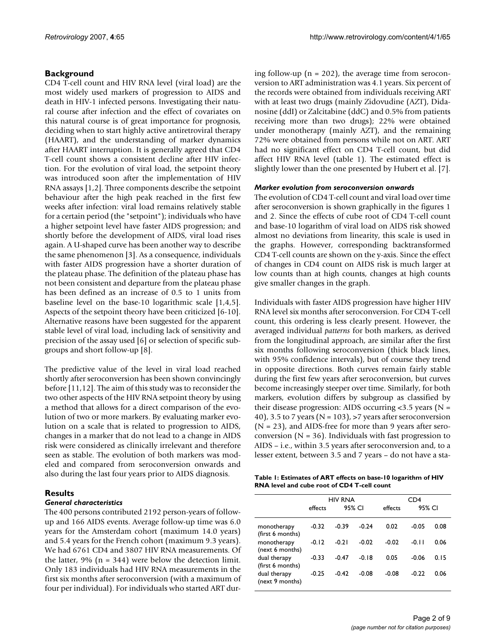### **Background**

CD4 T-cell count and HIV RNA level (viral load) are the most widely used markers of progression to AIDS and death in HIV-1 infected persons. Investigating their natural course after infection and the effect of covariates on this natural course is of great importance for prognosis, deciding when to start highly active antiretroviral therapy (HAART), and the understanding of marker dynamics after HAART interruption. It is generally agreed that CD4 T-cell count shows a consistent decline after HIV infection. For the evolution of viral load, the setpoint theory was introduced soon after the implementation of HIV RNA assays [1,2]. Three components describe the setpoint behaviour after the high peak reached in the first few weeks after infection: viral load remains relatively stable for a certain period (the "setpoint"); individuals who have a higher setpoint level have faster AIDS progression; and shortly before the development of AIDS, viral load rises again. A U-shaped curve has been another way to describe the same phenomenon [3]. As a consequence, individuals with faster AIDS progression have a shorter duration of the plateau phase. The definition of the plateau phase has not been consistent and departure from the plateau phase has been defined as an increase of 0.5 to 1 units from baseline level on the base-10 logarithmic scale [1,4,5]. Aspects of the setpoint theory have been criticized [6-10]. Alternative reasons have been suggested for the apparent stable level of viral load, including lack of sensitivity and precision of the assay used [6] or selection of specific subgroups and short follow-up [8].

The predictive value of the level in viral load reached shortly after seroconversion has been shown convincingly before [\[11](#page-8-0),12]. The aim of this study was to reconsider the two other aspects of the HIV RNA setpoint theory by using a method that allows for a direct comparison of the evolution of two or more markers. By evaluating marker evolution on a scale that is related to progression to AIDS, changes in a marker that do not lead to a change in AIDS risk were considered as clinically irrelevant and therefore seen as stable. The evolution of both markers was modeled and compared from seroconversion onwards and also during the last four years prior to AIDS diagnosis.

#### **Results**

#### *General characteristics*

The 400 persons contributed 2192 person-years of followup and 166 AIDS events. Average follow-up time was 6.0 years for the Amsterdam cohort (maximum 14.0 years) and 5.4 years for the French cohort (maximum 9.3 years). We had 6761 CD4 and 3807 HIV RNA measurements. Of the latter,  $9\%$  (n = 344) were below the detection limit. Only 183 individuals had HIV RNA measurements in the first six months after seroconversion (with a maximum of four per individual). For individuals who started ART during follow-up ( $n = 202$ ), the average time from seroconversion to ART administration was 4.1 years. Six percent of the records were obtained from individuals receiving ART with at least two drugs (mainly Zidovudine (AZT), Didanosine (ddI) or Zalcitabine (ddC) and 0.5% from patients receiving more than two drugs); 22% were obtained under monotherapy (mainly AZT), and the remaining 72% were obtained from persons while not on ART. ART had no significant effect on CD4 T-cell count, but did affect HIV RNA level (table 1). The estimated effect is slightly lower than the one presented by Hubert et al. [7].

#### *Marker evolution from seroconversion onwards*

The evolution of CD4 T-cell count and viral load over time after seroconversion is shown graphically in the figures 1 and 2. Since the effects of cube root of CD4 T-cell count and base-10 logarithm of viral load on AIDS risk showed almost no deviations from linearity, this scale is used in the graphs. However, corresponding backtransformed CD4 T-cell counts are shown on the y-axis. Since the effect of changes in CD4 count on AIDS risk is much larger at low counts than at high counts, changes at high counts give smaller changes in the graph.

Individuals with faster AIDS progression have higher HIV RNA level six months after seroconversion. For CD4 T-cell count, this ordering is less clearly present. However, the averaged individual *patterns* for both markers, as derived from the longitudinal approach, are similar after the first six months following seroconversion (thick black lines, with 95% confidence intervals), but of course they trend in opposite directions. Both curves remain fairly stable during the first few years after seroconversion, but curves become increasingly steeper over time. Similarly, for both markers, evolution differs by subgroup as classified by their disease progression: AIDS occurring  $<3.5$  years (N = 40), 3.5 to 7 years ( $N = 103$ ), >7 years after seroconversion  $(N = 23)$ , and AIDS-free for more than 9 years after seroconversion ( $N = 36$ ). Individuals with fast progression to AIDS – i.e., within 3.5 years after seroconversion and, to a lesser extent, between 3.5 and 7 years – do not have a sta-

**Table 1: Estimates of ART effects on base-10 logarithm of HIV RNA level and cube root of CD4 T-cell count**

|                                                                                                       | <b>HIV RNA</b> |         |         | CD4     |         |      |
|-------------------------------------------------------------------------------------------------------|----------------|---------|---------|---------|---------|------|
|                                                                                                       | effects        | 95% CI  |         | effects | 95% CI  |      |
| monotherapy<br>(first 6 months)                                                                       | $-0.32$        | $-0.39$ | $-0.24$ | 0.02    | $-0.05$ | 0.08 |
| monotherapy<br>(next 6 months)<br>dual therapy<br>(first 6 months)<br>dual therapy<br>(next 9 months) | $-0.12$        | $-0.21$ | $-0.02$ | $-0.02$ | $-0.11$ | 0.06 |
|                                                                                                       | $-0.33$        | $-0.47$ | $-0.18$ | 0.05    | $-0.06$ | 0.15 |
|                                                                                                       | $-0.25$        | $-0.42$ | $-0.08$ | $-0.08$ | $-0.22$ | 0.06 |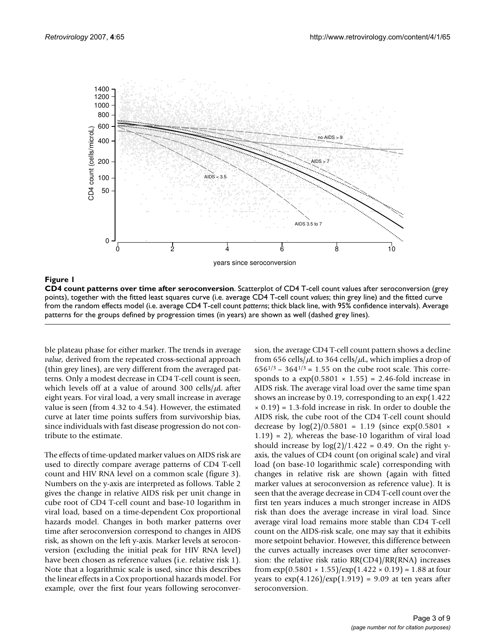

Figure 1

**CD4 count patterns over time after seroconversion**. Scatterplot of CD4 T-cell count values after seroconversion (grey points), together with the fitted least squares curve (i.e. average CD4 T-cell count *values*; thin grey line) and the fitted curve from the random effects model (i.e. average CD4 T-cell count *patterns*; thick black line, with 95% confidence intervals). Average patterns for the groups defined by progression times (in years) are shown as well (dashed grey lines).

ble plateau phase for either marker. The trends in average *value*, derived from the repeated cross-sectional approach (thin grey lines), are very different from the averaged patterns. Only a modest decrease in CD4 T-cell count is seen, which levels off at a value of around 300 cells/ $\mu$ L after eight years. For viral load, a very small increase in average value is seen (from 4.32 to 4.54). However, the estimated curve at later time points suffers from survivorship bias, since individuals with fast disease progression do not contribute to the estimate.

The effects of time-updated marker values on AIDS risk are used to directly compare average patterns of CD4 T-cell count and HIV RNA level on a common scale (figure 3). Numbers on the y-axis are interpreted as follows. Table 2 gives the change in relative AIDS risk per unit change in cube root of CD4 T-cell count and base-10 logarithm in viral load, based on a time-dependent Cox proportional hazards model. Changes in both marker patterns over time after seroconversion correspond to changes in AIDS risk, as shown on the left y-axis. Marker levels at seroconversion (excluding the initial peak for HIV RNA level) have been chosen as reference values (i.e. relative risk 1). Note that a logarithmic scale is used, since this describes the linear effects in a Cox proportional hazards model. For example, over the first four years following seroconversion, the average CD4 T-cell count pattern shows a decline from 656 cells/ $\mu$ L to 364 cells/ $\mu$ L, which implies a drop of  $656^{1/3}$  –  $364^{1/3}$  = 1.55 on the cube root scale. This corresponds to a  $exp(0.5801 \times 1.55) = 2.46$ -fold increase in AIDS risk. The average viral load over the same time span shows an increase by 0.19, corresponding to an exp(1.422  $\times$  0.19) = 1.3-fold increase in risk. In order to double the AIDS risk, the cube root of the CD4 T-cell count should decrease by  $log(2)/0.5801 = 1.19$  (since  $exp(0.5801 \times$  $(1.19) = 2$ , whereas the base-10 logarithm of viral load should increase by  $log(2)/1.422 = 0.49$ . On the right yaxis, the values of CD4 count (on original scale) and viral load (on base-10 logarithmic scale) corresponding with changes in relative risk are shown (again with fitted marker values at seroconversion as reference value). It is seen that the average decrease in CD4 T-cell count over the first ten years induces a much stronger increase in AIDS risk than does the average increase in viral load. Since average viral load remains more stable than CD4 T-cell count on the AIDS-risk scale, one may say that it exhibits more setpoint behavior. However, this difference between the curves actually increases over time after seroconversion: the relative risk ratio RR(CD4)/RR(RNA) increases from  $\exp(0.5801 \times 1.55)/\exp(1.422 \times 0.19) = 1.88$  at four years to  $\exp(4.126)/\exp(1.919) = 9.09$  at ten years after seroconversion.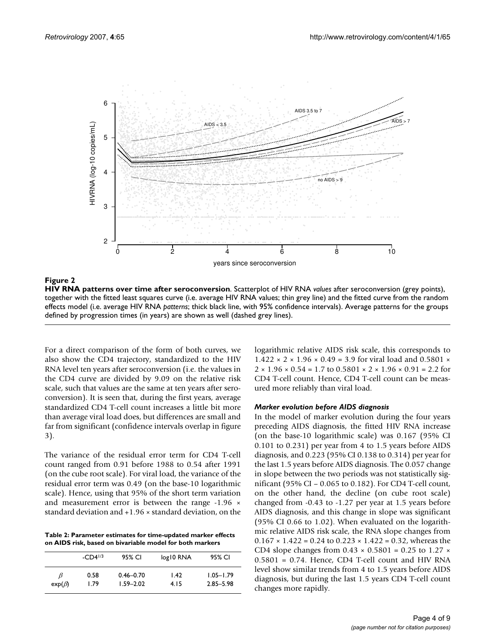

Figure 2

**HIV RNA patterns over time after seroconversion**. Scatterplot of HIV RNA *values* after seroconversion (grey points), together with the fitted least squares curve (i.e. average HIV RNA values; thin grey line) and the fitted curve from the random effects model (i.e. average HIV RNA *patterns*; thick black line, with 95% confidence intervals). Average patterns for the groups defined by progression times (in years) are shown as well (dashed grey lines).

For a direct comparison of the form of both curves, we also show the CD4 trajectory, standardized to the HIV RNA level ten years after seroconversion (i.e. the values in the CD4 curve are divided by 9.09 on the relative risk scale, such that values are the same at ten years after seroconversion). It is seen that, during the first years, average standardized CD4 T-cell count increases a little bit more than average viral load does, but differences are small and far from significant (confidence intervals overlap in figure 3).

The variance of the residual error term for CD4 T-cell count ranged from 0.91 before 1988 to 0.54 after 1991 (on the cube root scale). For viral load, the variance of the residual error term was 0.49 (on the base-10 logarithmic scale). Hence, using that 95% of the short term variation and measurement error is between the range -1.96  $\times$ standard deviation and +1.96 × standard deviation, on the

**Table 2: Parameter estimates for time-updated marker effects on AIDS risk, based on bivariable model for both markers**

|              | $-CD4^{1/3}$ | 95% CI        | log10 RNA         | 95% CI        |
|--------------|--------------|---------------|-------------------|---------------|
| B            | 0.58         | $0.46 - 0.70$ | $\overline{1.42}$ | $1.05 - 1.79$ |
| $exp(\beta)$ | 1.79         | $1.59 - 2.02$ | 4.15              | $2.85 - 5.98$ |

logarithmic relative AIDS risk scale, this corresponds to  $1.422 \times 2 \times 1.96 \times 0.49 = 3.9$  for viral load and 0.5801  $\times$  $2 \times 1.96 \times 0.54 = 1.7$  to  $0.5801 \times 2 \times 1.96 \times 0.91 = 2.2$  for CD4 T-cell count. Hence, CD4 T-cell count can be measured more reliably than viral load.

#### *Marker evolution before AIDS diagnosis*

In the model of marker evolution during the four years preceding AIDS diagnosis, the fitted HIV RNA increase (on the base-10 logarithmic scale) was 0.167 (95% CI 0.101 to 0.231) per year from 4 to 1.5 years before AIDS diagnosis, and 0.223 (95% CI 0.138 to 0.314) per year for the last 1.5 years before AIDS diagnosis. The 0.057 change in slope between the two periods was not statistically significant (95% CI – 0.065 to 0.182). For CD4 T-cell count, on the other hand, the decline (on cube root scale) changed from -0.43 to -1.27 per year at 1.5 years before AIDS diagnosis, and this change in slope was significant (95% CI 0.66 to 1.02). When evaluated on the logarithmic relative AIDS risk scale, the RNA slope changes from  $0.167 \times 1.422 = 0.24$  to  $0.223 \times 1.422 = 0.32$ , whereas the CD4 slope changes from  $0.43 \times 0.5801 = 0.25$  to 1.27  $\times$ 0.5801 = 0.74. Hence, CD4 T-cell count and HIV RNA level show similar trends from 4 to 1.5 years before AIDS diagnosis, but during the last 1.5 years CD4 T-cell count changes more rapidly.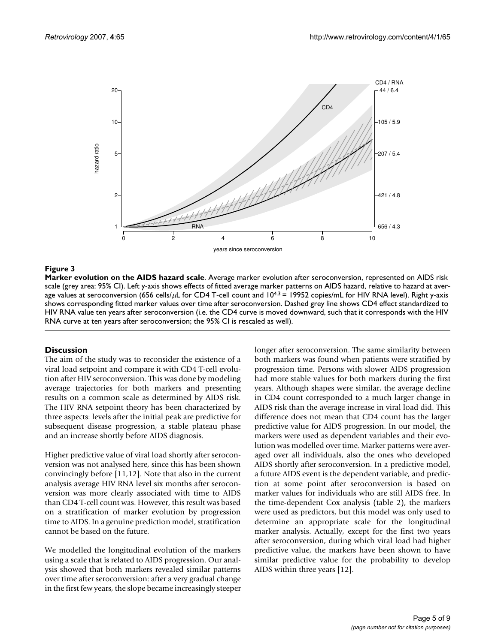

#### **Figure 3**

**Marker evolution on the AIDS hazard scale**. Average marker evolution after seroconversion, represented on AIDS risk scale (grey area: 95% CI). Left y-axis shows effects of fitted average marker patterns on AIDS hazard, relative to hazard at average values at seroconversion (656 cells/ $\mu$ L for CD4 T-cell count and  $10^{4.3}$  = 19952 copies/mL for HIV RNA level). Right y-axis shows corresponding fitted marker values over time after seroconversion. Dashed grey line shows CD4 effect standardized to HIV RNA value ten years after seroconversion (i.e. the CD4 curve is moved downward, such that it corresponds with the HIV RNA curve at ten years after seroconversion; the 95% CI is rescaled as well).

#### **Discussion**

The aim of the study was to reconsider the existence of a viral load setpoint and compare it with CD4 T-cell evolution after HIV seroconversion. This was done by modeling average trajectories for both markers and presenting results on a common scale as determined by AIDS risk. The HIV RNA setpoint theory has been characterized by three aspects: levels after the initial peak are predictive for subsequent disease progression, a stable plateau phase and an increase shortly before AIDS diagnosis.

Higher predictive value of viral load shortly after seroconversion was not analysed here, since this has been shown convincingly before [\[11](#page-8-0),12]. Note that also in the current analysis average HIV RNA level six months after seroconversion was more clearly associated with time to AIDS than CD4 T-cell count was. However, this result was based on a stratification of marker evolution by progression time to AIDS. In a genuine prediction model, stratification cannot be based on the future.

We modelled the longitudinal evolution of the markers using a scale that is related to AIDS progression. Our analysis showed that both markers revealed similar patterns over time after seroconversion: after a very gradual change in the first few years, the slope became increasingly steeper

longer after seroconversion. The same similarity between both markers was found when patients were stratified by progression time. Persons with slower AIDS progression had more stable values for both markers during the first years. Although shapes were similar, the average decline in CD4 count corresponded to a much larger change in AIDS risk than the average increase in viral load did. This difference does not mean that CD4 count has the larger predictive value for AIDS progression. In our model, the markers were used as dependent variables and their evolution was modelled over time. Marker patterns were averaged over all individuals, also the ones who developed AIDS shortly after seroconversion. In a predictive model, a future AIDS event is the dependent variable, and prediction at some point after seroconversion is based on marker values for individuals who are still AIDS free. In the time-dependent Cox analysis (table 2), the markers were used as predictors, but this model was only used to determine an appropriate scale for the longitudinal marker analysis. Actually, except for the first two years after seroconversion, during which viral load had higher predictive value, the markers have been shown to have similar predictive value for the probability to develop AIDS within three years [12].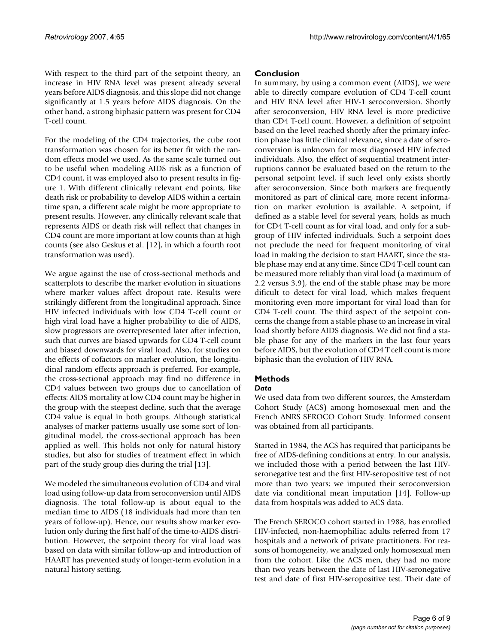With respect to the third part of the setpoint theory, an increase in HIV RNA level was present already several years before AIDS diagnosis, and this slope did not change significantly at 1.5 years before AIDS diagnosis. On the other hand, a strong biphasic pattern was present for CD4 T-cell count.

For the modeling of the CD4 trajectories, the cube root transformation was chosen for its better fit with the random effects model we used. As the same scale turned out to be useful when modeling AIDS risk as a function of CD4 count, it was employed also to present results in figure 1. With different clinically relevant end points, like death risk or probability to develop AIDS within a certain time span, a different scale might be more appropriate to present results. However, any clinically relevant scale that represents AIDS or death risk will reflect that changes in CD4 count are more important at low counts than at high counts (see also Geskus et al. [12], in which a fourth root transformation was used).

We argue against the use of cross-sectional methods and scatterplots to describe the marker evolution in situations where marker values affect dropout rate. Results were strikingly different from the longitudinal approach. Since HIV infected individuals with low CD4 T-cell count or high viral load have a higher probability to die of AIDS, slow progressors are overrepresented later after infection, such that curves are biased upwards for CD4 T-cell count and biased downwards for viral load. Also, for studies on the effects of cofactors on marker evolution, the longitudinal random effects approach is preferred. For example, the cross-sectional approach may find no difference in CD4 values between two groups due to cancellation of effects: AIDS mortality at low CD4 count may be higher in the group with the steepest decline, such that the average CD4 value is equal in both groups. Although statistical analyses of marker patterns usually use some sort of longitudinal model, the cross-sectional approach has been applied as well. This holds not only for natural history studies, but also for studies of treatment effect in which part of the study group dies during the trial [13].

We modeled the simultaneous evolution of CD4 and viral load using follow-up data from seroconversion until AIDS diagnosis. The total follow-up is about equal to the median time to AIDS (18 individuals had more than ten years of follow-up). Hence, our results show marker evolution only during the first half of the time-to-AIDS distribution. However, the setpoint theory for viral load was based on data with similar follow-up and introduction of HAART has prevented study of longer-term evolution in a natural history setting.

#### **Conclusion**

In summary, by using a common event (AIDS), we were able to directly compare evolution of CD4 T-cell count and HIV RNA level after HIV-1 seroconversion. Shortly after seroconversion, HIV RNA level is more predictive than CD4 T-cell count. However, a definition of setpoint based on the level reached shortly after the primary infection phase has little clinical relevance, since a date of seroconversion is unknown for most diagnosed HIV infected individuals. Also, the effect of sequential treatment interruptions cannot be evaluated based on the return to the personal setpoint level, if such level only exists shortly after seroconversion. Since both markers are frequently monitored as part of clinical care, more recent information on marker evolution is available. A setpoint, if defined as a stable level for several years, holds as much for CD4 T-cell count as for viral load, and only for a subgroup of HIV infected individuals. Such a setpoint does not preclude the need for frequent monitoring of viral load in making the decision to start HAART, since the stable phase may end at any time. Since CD4 T-cell count can be measured more reliably than viral load (a maximum of 2.2 versus 3.9), the end of the stable phase may be more dificult to detect for viral load, which makes frequent monitoring even more important for viral load than for CD4 T-cell count. The third aspect of the setpoint concerns the change from a stable phase to an increase in viral load shortly before AIDS diagnosis. We did not find a stable phase for any of the markers in the last four years before AIDS, but the evolution of CD4 T cell count is more biphasic than the evolution of HIV RNA.

## **Methods**

#### *Data*

We used data from two different sources, the Amsterdam Cohort Study (ACS) among homosexual men and the French ANRS SEROCO Cohort Study. Informed consent was obtained from all participants.

Started in 1984, the ACS has required that participants be free of AIDS-defining conditions at entry. In our analysis, we included those with a period between the last HIVseronegative test and the first HIV-seropositive test of not more than two years; we imputed their seroconversion date via conditional mean imputation [14]. Follow-up data from hospitals was added to ACS data.

The French SEROCO cohort started in 1988, has enrolled HIV-infected, non-haemophiliac adults referred from 17 hospitals and a network of private practitioners. For reasons of homogeneity, we analyzed only homosexual men from the cohort. Like the ACS men, they had no more than two years between the date of last HIV-seronegative test and date of first HIV-seropositive test. Their date of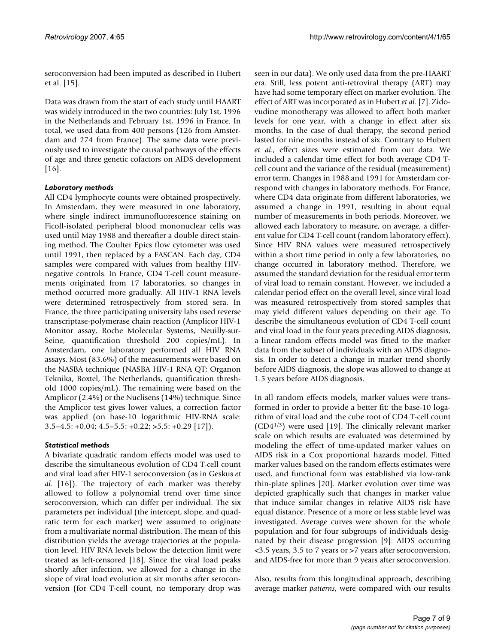seroconversion had been imputed as described in Hubert et al. [15].

Data was drawn from the start of each study until HAART was widely introduced in the two countries: July 1st, 1996 in the Netherlands and February 1st, 1996 in France. In total, we used data from 400 persons (126 from Amsterdam and 274 from France). The same data were previously used to investigate the causal pathways of the effects of age and three genetic cofactors on AIDS development [[16](#page-8-1)].

#### *Laboratory methods*

All CD4 lymphocyte counts were obtained prospectively. In Amsterdam, they were measured in one laboratory, where single indirect immunofluorescence staining on Ficoll-isolated peripheral blood mononuclear cells was used until May 1988 and thereafter a double direct staining method. The Coulter Epics flow cytometer was used until 1991, then replaced by a FASCAN. Each day, CD4 samples were compared with values from healthy HIVnegative controls. In France, CD4 T-cell count measurements originated from 17 laboratories, so changes in method occurred more gradually. All HIV-1 RNA levels were determined retrospectively from stored sera. In France, the three participating university labs used reverse transcriptase-polymerase chain reaction (Amplicor HIV-1 Monitor assay, Roche Molecular Systems, Neuilly-sur-Seine, quantification threshold 200 copies/mL). In Amsterdam, one laboratory performed all HIV RNA assays. Most (83.6%) of the measurements were based on the NASBA technique (NASBA HIV-1 RNA QT; Organon Teknika, Boxtel, The Netherlands, quantification threshold 1000 copies/mL). The remaining were based on the Amplicor (2.4%) or the Nuclisens (14%) technique. Since the Amplicor test gives lower values, a correction factor was applied (on base-10 logarithmic HIV-RNA scale:  $3.5-4.5$ :  $+0.04$ ;  $4.5-5.5$ :  $+0.22$ ;  $>5.5$ :  $+0.29$  [17]).

### *Statistical methods*

A bivariate quadratic random effects model was used to describe the simultaneous evolution of CD4 T-cell count and viral load after HIV-1 seroconversion (as in Geskus *et al*. [\[16](#page-8-1)]). The trajectory of each marker was thereby allowed to follow a polynomial trend over time since seroconversion, which can differ per individual. The six parameters per individual (the intercept, slope, and quadratic term for each marker) were assumed to originate from a multivariate normal distribution. The mean of this distribution yields the average trajectories at the population level. HIV RNA levels below the detection limit were treated as left-censored [18]. Since the viral load peaks shortly after infection, we allowed for a change in the slope of viral load evolution at six months after seroconversion (for CD4 T-cell count, no temporary drop was

seen in our data). We only used data from the pre-HAART era. Still, less potent anti-retroviral therapy (ART) may have had some temporary effect on marker evolution. The effect of ART was incorporated as in Hubert *et al*. [7]. Zidovudine monotherapy was allowed to affect both marker levels for one year, with a change in effect after six months. In the case of dual therapy, the second period lasted for nine months instead of six. Contrary to Hubert *et al*., effect sizes were estimated from our data. We included a calendar time effect for both average CD4 Tcell count and the variance of the residual (measurement) error term. Changes in 1988 and 1991 for Amsterdam correspond with changes in laboratory methods. For France, where CD4 data originate from different laboratories, we assumed a change in 1991, resulting in about equal number of measurements in both periods. Moreover, we allowed each laboratory to measure, on average, a different value for CD4 T-cell count (random laboratory effect). Since HIV RNA values were measured retrospectively within a short time period in only a few laboratories, no change occurred in laboratory method. Therefore, we assumed the standard deviation for the residual error term of viral load to remain constant. However, we included a calendar period effect on the overall level, since viral load was measured retrospectively from stored samples that may yield different values depending on their age. To describe the simultaneous evolution of CD4 T-cell count and viral load in the four years preceding AIDS diagnosis, a linear random effects model was fitted to the marker data from the subset of individuals with an AIDS diagnosis. In order to detect a change in marker trend shortly before AIDS diagnosis, the slope was allowed to change at 1.5 years before AIDS diagnosis.

In all random effects models, marker values were transformed in order to provide a better fit: the base-10 logarithm of viral load and the cube root of CD4 T-cell count (CD41/3) were used [19]. The clinically relevant marker scale on which results are evaluated was determined by modeling the effect of time-updated marker values on AIDS risk in a Cox proportional hazards model. Fitted marker values based on the random effects estimates were used, and functional form was established via low-rank thin-plate splines [20]. Marker evolution over time was depicted graphically such that changes in marker value that induce similar changes in relative AIDS risk have equal distance. Presence of a more or less stable level was investigated. Average curves were shown for the whole population and for four subgroups of individuals designated by their disease progression [9]: AIDS occurring <3.5 years, 3.5 to 7 years or >7 years after seroconversion, and AIDS-free for more than 9 years after seroconversion.

Also, results from this longitudinal approach, describing average marker *patterns*, were compared with our results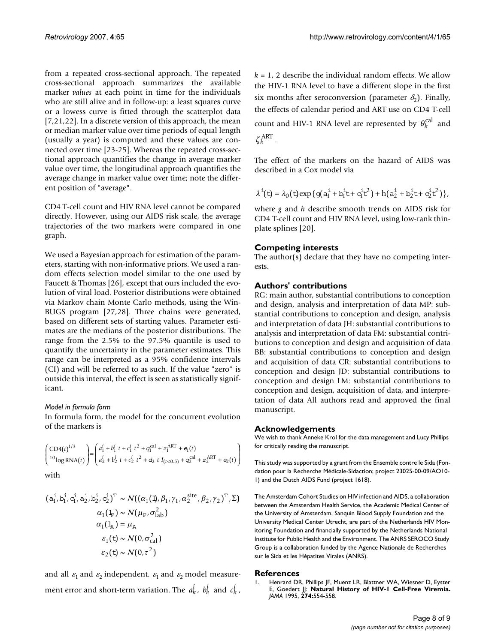from a repeated cross-sectional approach. The repeated cross-sectional approach summarizes the available marker *values* at each point in time for the individuals who are still alive and in follow-up: a least squares curve or a lowess curve is fitted through the scatterplot data [7[,21](#page-8-2),22]. In a discrete version of this approach, the mean or median marker value over time periods of equal length (usually a year) is computed and these values are connected over time [23-[25\]](#page-8-3). Whereas the repeated cross-sectional approach quantifies the change in average marker value over time, the longitudinal approach quantifies the average change in marker value over time; note the different position of "average".

CD4 T-cell count and HIV RNA level cannot be compared directly. However, using our AIDS risk scale, the average trajectories of the two markers were compared in one graph.

We used a Bayesian approach for estimation of the parameters, starting with non-informative priors. We used a random effects selection model similar to the one used by Faucett & Thomas [26], except that ours included the evolution of viral load. Posterior distributions were obtained via Markov chain Monte Carlo methods, using the Win-BUGS program [27,28]. Three chains were generated, based on different sets of starting values. Parameter estimates are the medians of the posterior distributions. The range from the 2.5% to the 97.5% quantile is used to quantify the uncertainty in the parameter estimates. This range can be interpreted as a 95% confidence intervals (CI) and will be referred to as such. If the value "zero" is outside this interval, the effect is seen as statistically significant.

#### *Model in formula form*

In formula form, the model for the concurrent evolution of the markers is

$$
\begin{pmatrix}\nCD4(t)^{1/3} \\
^{10}\log\text{RNA}(t)\n\end{pmatrix} = \begin{pmatrix}\na_1^i + b_1^i t + c_1^i t^2 + q_1^{\text{cal}} + z_1^{\text{ART}} + e_1(t) \\
a_2^i + b_2^i t + c_2^i t^2 + d_2 t I_{(t<0.5)} + q_2^{\text{cal}} + z_2^{\text{ART}} + e_2(t)\n\end{pmatrix}
$$

with

$$
(a_1^i, b_1^i, c_1^i, a_2^i, b_2^i, c_2^i)^T \sim \mathcal{N}((\alpha_1(1), \beta_1, \gamma_1, \alpha_2^{\text{site}}, \beta_2, \gamma_2)^T, \Sigma)
$$

$$
\alpha_1(\frac{1}{12}) \sim \mathcal{N}(\mu_F, \sigma_{lab}^2)
$$

$$
\alpha_1(1) = \mu_A
$$

$$
\epsilon_1(t) \sim \mathcal{N}(0, \sigma_{cal}^2)
$$

$$
\epsilon_2(t) \sim \mathcal{N}(0, \tau^2)
$$

and all  $\varepsilon_1$  and  $\varepsilon_2$  independent.  $\varepsilon_1$  and  $\varepsilon_2$  model measurement error and short-term variation. The  $a_k^i$ ,  $b_k^i$  and  $c_k^i$ ,  $k = 1$ , 2 describe the individual random effects. We allow the HIV-1 RNA level to have a different slope in the first six months after seroconversion (parameter  $\delta_2$ ). Finally, the effects of calendar period and ART use on CD4 T-cell count and HIV-1 RNA level are represented by  $\theta_k^{\text{cal}}$  and  $\zeta_k^{\text{ART}}$  .

The effect of the markers on the hazard of AIDS was described in a Cox model via

$$
\lambda^{\textnormal{i}}(t) = \lambda_0\big(t\big) \textnormal{exp}\big\{g\big(a_1^{\textnormal{i}} + b_1^{\textnormal{i}}t + c_1^{\textnormal{i}}t^2\big) + h\big(a_2^{\textnormal{i}} + b_2^{\textnormal{i}}t + c_2^{\textnormal{i}}t^2\big)\big\},
$$

where *g* and *h* describe smooth trends on AIDS risk for CD4 T-cell count and HIV RNA level, using low-rank thinplate splines [20].

#### **Competing interests**

The author(s) declare that they have no competing interests.

#### **Authors' contributions**

RG: main author, substantial contributions to conception and design, analysis and interpretation of data MP: substantial contributions to conception and design, analysis and interpretation of data JH: substantial contributions to analysis and interpretation of data FM: substantial contributions to conception and design and acquisition of data BB: substantial contributions to conception and design and acquisition of data CR: substantial contributions to conception and design JD: substantial contributions to conception and design LM: substantial contributions to conception and design, acquisition of data, and interpretation of data All authors read and approved the final manuscript.

#### **Acknowledgements**

We wish to thank Anneke Krol for the data management and Lucy Phillips for critically reading the manuscript.

This study was supported by a grant from the Ensemble contre le Sida (Fondation pour la Recherche Médicale-Sidaction; project 23025-00-09/AO10- 1) and the Dutch AIDS Fund (project 1618).

The Amsterdam Cohort Studies on HIV infection and AIDS, a collaboration between the Amsterdam Health Service, the Academic Medical Center of the University of Amsterdam, Sanquin Blood Supply Foundation and the University Medical Center Utrecht, are part of the Netherlands HIV Monitoring Foundation and financially supported by the Netherlands National Institute for Public Health and the Environment. The ANRS SEROCO Study Group is a collaboration funded by the Agence Nationale de Recherches sur le Sida et les Hépatites Virales (ANRS).

#### **References**

Henrard DR, Phillips JF, Muenz LR, Blattner WA, Wiesner D, Eyster E, Goedert JJ: **[Natural History of HIV-1 Cell-Free Viremia.](http://www.ncbi.nlm.nih.gov/entrez/query.fcgi?cmd=Retrieve&db=PubMed&dopt=Abstract&list_uids=7629984)** *JAMA* 1995, **274:**554-558.